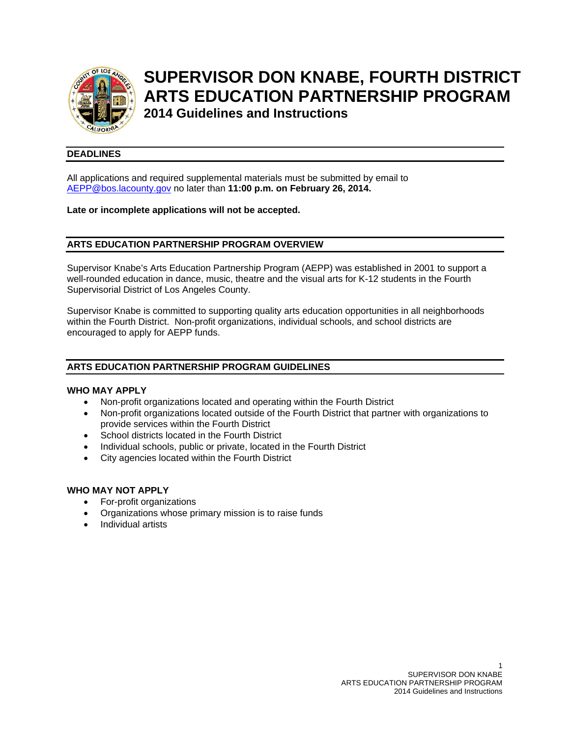

# **SUPERVISOR DON KNABE, FOURTH DISTRICT ARTS EDUCATION PARTNERSHIP PROGRAM**

**2014 Guidelines and Instructions** 

# **DEADLINES**

All applications and required supplemental materials must be submitted by email to AEPP@bos.lacounty.gov no later than **11:00 p.m. on February 26, 2014.**

# **Late or incomplete applications will not be accepted.**

# **ARTS EDUCATION PARTNERSHIP PROGRAM OVERVIEW**

Supervisor Knabe's Arts Education Partnership Program (AEPP) was established in 2001 to support a well-rounded education in dance, music, theatre and the visual arts for K-12 students in the Fourth Supervisorial District of Los Angeles County.

Supervisor Knabe is committed to supporting quality arts education opportunities in all neighborhoods within the Fourth District. Non-profit organizations, individual schools, and school districts are encouraged to apply for AEPP funds.

# **ARTS EDUCATION PARTNERSHIP PROGRAM GUIDELINES**

### **WHO MAY APPLY**

- Non-profit organizations located and operating within the Fourth District
- Non-profit organizations located outside of the Fourth District that partner with organizations to provide services within the Fourth District
- School districts located in the Fourth District
- Individual schools, public or private, located in the Fourth District
- City agencies located within the Fourth District

### **WHO MAY NOT APPLY**

- For-profit organizations
- Organizations whose primary mission is to raise funds
- Individual artists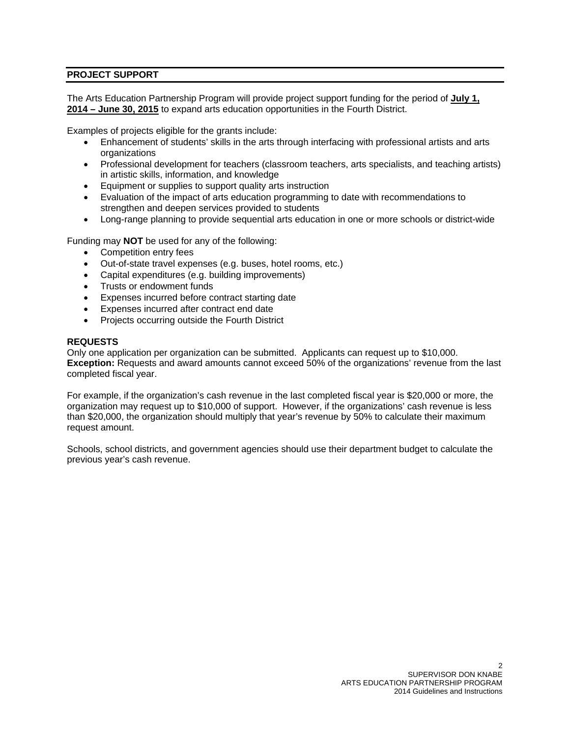# **PROJECT SUPPORT**

The Arts Education Partnership Program will provide project support funding for the period of **July 1, 2014 – June 30, 2015** to expand arts education opportunities in the Fourth District.

Examples of projects eligible for the grants include:

- Enhancement of students' skills in the arts through interfacing with professional artists and arts organizations
- Professional development for teachers (classroom teachers, arts specialists, and teaching artists) in artistic skills, information, and knowledge
- **Equipment or supplies to support quality arts instruction**
- Evaluation of the impact of arts education programming to date with recommendations to strengthen and deepen services provided to students
- Long-range planning to provide sequential arts education in one or more schools or district-wide

Funding may **NOT** be used for any of the following:

- Competition entry fees
- Out-of-state travel expenses (e.g. buses, hotel rooms, etc.)
- Capital expenditures (e.g. building improvements)
- Trusts or endowment funds
- Expenses incurred before contract starting date
- Expenses incurred after contract end date
- Projects occurring outside the Fourth District

#### **REQUESTS**

Only one application per organization can be submitted. Applicants can request up to \$10,000. **Exception:** Requests and award amounts cannot exceed 50% of the organizations' revenue from the last completed fiscal year.

For example, if the organization's cash revenue in the last completed fiscal year is \$20,000 or more, the organization may request up to \$10,000 of support. However, if the organizations' cash revenue is less than \$20,000, the organization should multiply that year's revenue by 50% to calculate their maximum request amount.

Schools, school districts, and government agencies should use their department budget to calculate the previous year's cash revenue.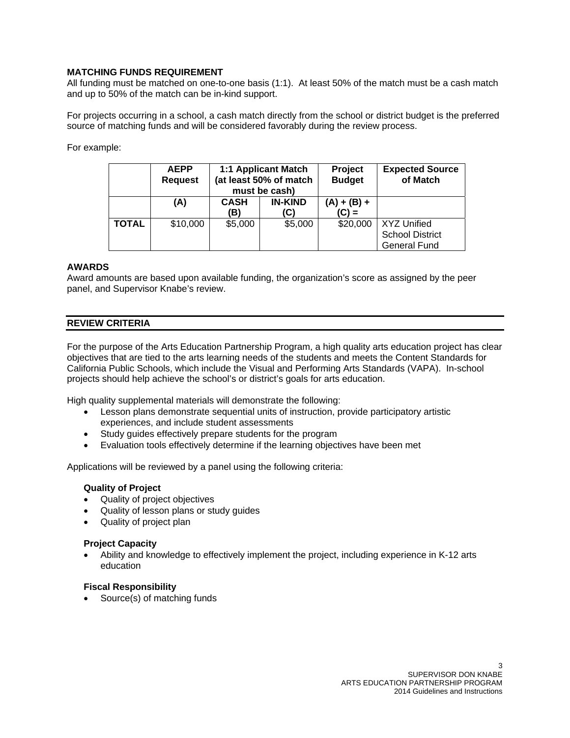# **MATCHING FUNDS REQUIREMENT**

All funding must be matched on one-to-one basis (1:1). At least 50% of the match must be a cash match and up to 50% of the match can be in-kind support.

For projects occurring in a school, a cash match directly from the school or district budget is the preferred source of matching funds and will be considered favorably during the review process.

For example:

|              | <b>AEPP</b><br><b>Request</b> | 1:1 Applicant Match<br>(at least 50% of match<br>must be cash) |                       | Project<br><b>Budget</b> | <b>Expected Source</b><br>of Match                           |
|--------------|-------------------------------|----------------------------------------------------------------|-----------------------|--------------------------|--------------------------------------------------------------|
|              | (A)                           | <b>CASH</b><br>(B)                                             | <b>IN-KIND</b><br>(C) | $(A) + (B) +$<br>$(C) =$ |                                                              |
| <b>TOTAL</b> | \$10,000                      | \$5,000                                                        | \$5,000               | \$20,000                 | XYZ Unified<br><b>School District</b><br><b>General Fund</b> |

# **AWARDS**

Award amounts are based upon available funding, the organization's score as assigned by the peer panel, and Supervisor Knabe's review.

# **REVIEW CRITERIA**

For the purpose of the Arts Education Partnership Program, a high quality arts education project has clear objectives that are tied to the arts learning needs of the students and meets the Content Standards for California Public Schools, which include the Visual and Performing Arts Standards (VAPA). In-school projects should help achieve the school's or district's goals for arts education.

High quality supplemental materials will demonstrate the following:

- Lesson plans demonstrate sequential units of instruction, provide participatory artistic experiences, and include student assessments
- Study guides effectively prepare students for the program
- Evaluation tools effectively determine if the learning objectives have been met

Applications will be reviewed by a panel using the following criteria:

### **Quality of Project**

- Quality of project objectives
- Quality of lesson plans or study guides
- Quality of project plan

#### **Project Capacity**

 Ability and knowledge to effectively implement the project, including experience in K-12 arts education

### **Fiscal Responsibility**

Source(s) of matching funds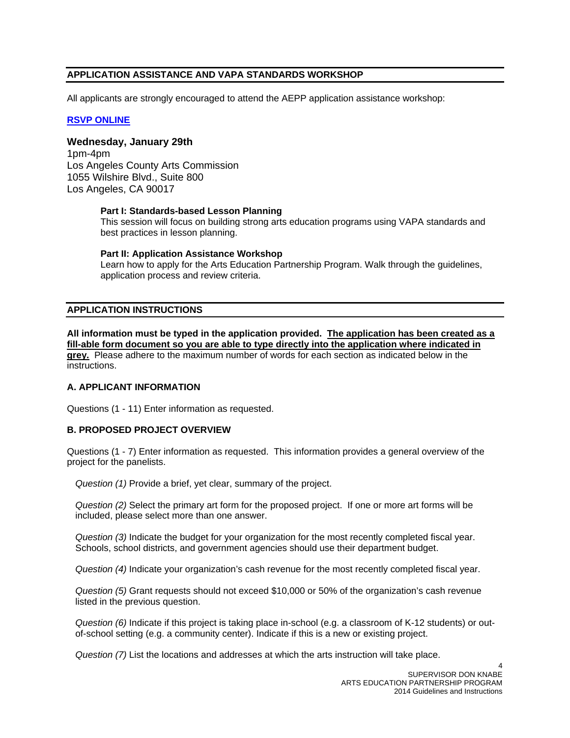# **APPLICATION ASSISTANCE AND VAPA STANDARDS WORKSHOP**

All applicants are strongly encouraged to attend the AEPP application assistance workshop:

# **RSVP ONLINE**

# **Wednesday, January 29th**

1pm-4pm Los Angeles County Arts Commission 1055 Wilshire Blvd., Suite 800 Los Angeles, CA 90017

### **Part I: Standards-based Lesson Planning**

This session will focus on building strong arts education programs using VAPA standards and best practices in lesson planning.

# **Part II: Application Assistance Workshop**

Learn how to apply for the Arts Education Partnership Program. Walk through the guidelines, application process and review criteria.

# **APPLICATION INSTRUCTIONS**

**All information must be typed in the application provided. The application has been created as a fill-able form document so you are able to type directly into the application where indicated in grey.** Please adhere to the maximum number of words for each section as indicated below in the instructions.

### **A. APPLICANT INFORMATION**

Questions (1 - 11) Enter information as requested.

# **B. PROPOSED PROJECT OVERVIEW**

Questions (1 - 7) Enter information as requested. This information provides a general overview of the project for the panelists.

*Question (1)* Provide a brief, yet clear, summary of the project.

*Question (2)* Select the primary art form for the proposed project. If one or more art forms will be included, please select more than one answer.

*Question (3)* Indicate the budget for your organization for the most recently completed fiscal year. Schools, school districts, and government agencies should use their department budget.

*Question (4)* Indicate your organization's cash revenue for the most recently completed fiscal year.

*Question (5)* Grant requests should not exceed \$10,000 or 50% of the organization's cash revenue listed in the previous question.

*Question (6)* Indicate if this project is taking place in-school (e.g. a classroom of K-12 students) or outof-school setting (e.g. a community center). Indicate if this is a new or existing project.

*Question (7)* List the locations and addresses at which the arts instruction will take place.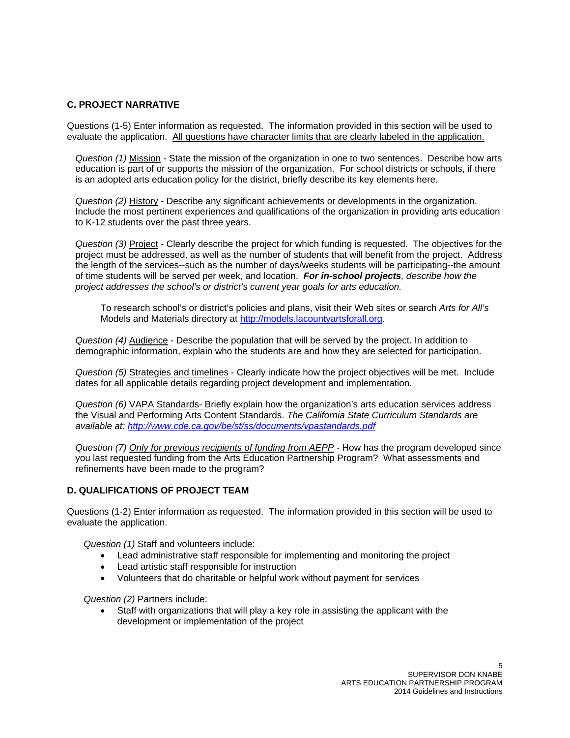# **C. PROJECT NARRATIVE**

Questions (1-5) Enter information as requested. The information provided in this section will be used to evaluate the application. All questions have character limits that are clearly labeled in the application.

*Question (1)* Mission - State the mission of the organization in one to two sentences. Describe how arts education is part of or supports the mission of the organization. For school districts or schools, if there is an adopted arts education policy for the district, briefly describe its key elements here.

*Question (2)* History - Describe any significant achievements or developments in the organization. Include the most pertinent experiences and qualifications of the organization in providing arts education to K-12 students over the past three years.

*Question (3)* Project *-* Clearly describe the project for which funding is requested. The objectives for the project must be addressed, as well as the number of students that will benefit from the project. Address the length of the services--such as the number of days/weeks students will be participating--the amount of time students will be served per week, and location. *For in-school projects, describe how the project addresses the school's or district's current year goals for arts education.* 

To research school's or district's policies and plans, visit their Web sites or search *Arts for All's* Models and Materials directory at http://models.lacountyartsforall.org.

*Question (4)* Audience - Describe the population that will be served by the project. In addition to demographic information, explain who the students are and how they are selected for participation.

*Question (5)* Strategies and timelines - Clearly indicate how the project objectives will be met. Include dates for all applicable details regarding project development and implementation.

*Question (6)* VAPA Standards- Briefly explain how the organization's arts education services address the Visual and Performing Arts Content Standards. *The California State Curriculum Standards are available at: http://www.cde.ca.gov/be/st/ss/documents/vpastandards.pdf* 

*Question (7) Only for previous recipients of funding from AEPP* - How has the program developed since you last requested funding from the Arts Education Partnership Program? What assessments and refinements have been made to the program?

### **D. QUALIFICATIONS OF PROJECT TEAM**

Questions (1-2) Enter information as requested. The information provided in this section will be used to evaluate the application.

 *Question (1)* Staff and volunteers include:

- Lead administrative staff responsible for implementing and monitoring the project
- Lead artistic staff responsible for instruction
- Volunteers that do charitable or helpful work without payment for services

*Question (2)* Partners include:

 Staff with organizations that will play a key role in assisting the applicant with the development or implementation of the project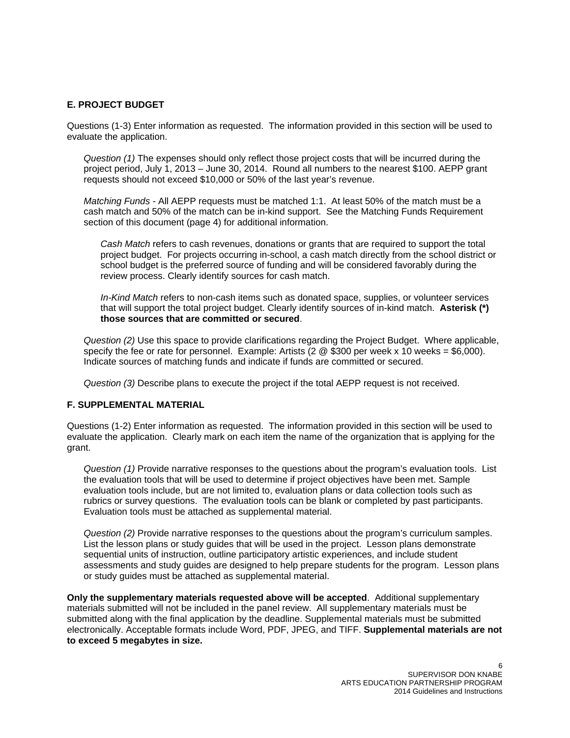## **E. PROJECT BUDGET**

Questions (1-3) Enter information as requested. The information provided in this section will be used to evaluate the application.

*Question (1)* The expenses should only reflect those project costs that will be incurred during the project period, July 1, 2013 – June 30, 2014. Round all numbers to the nearest \$100. AEPP grant requests should not exceed \$10,000 or 50% of the last year's revenue.

*Matching Funds -* All AEPP requests must be matched 1:1. At least 50% of the match must be a cash match and 50% of the match can be in-kind support. See the Matching Funds Requirement section of this document (page 4) for additional information.

*Cash Match* refers to cash revenues, donations or grants that are required to support the total project budget. For projects occurring in-school, a cash match directly from the school district or school budget is the preferred source of funding and will be considered favorably during the review process. Clearly identify sources for cash match.

*In-Kind Match* refers to non-cash items such as donated space, supplies, or volunteer services that will support the total project budget. Clearly identify sources of in-kind match. **Asterisk (\*) those sources that are committed or secured**.

*Question (2)* Use this space to provide clarifications regarding the Project Budget. Where applicable, specify the fee or rate for personnel. Example: Artists  $(2 \otimes $300$  per week x 10 weeks = \$6,000). Indicate sources of matching funds and indicate if funds are committed or secured.

*Question (3)* Describe plans to execute the project if the total AEPP request is not received.

## **F. SUPPLEMENTAL MATERIAL**

Questions (1-2) Enter information as requested. The information provided in this section will be used to evaluate the application. Clearly mark on each item the name of the organization that is applying for the grant.

*Question (1)* Provide narrative responses to the questions about the program's evaluation tools. List the evaluation tools that will be used to determine if project objectives have been met. Sample evaluation tools include, but are not limited to, evaluation plans or data collection tools such as rubrics or survey questions. The evaluation tools can be blank or completed by past participants. Evaluation tools must be attached as supplemental material.

*Question (2)* Provide narrative responses to the questions about the program's curriculum samples. List the lesson plans or study guides that will be used in the project. Lesson plans demonstrate sequential units of instruction, outline participatory artistic experiences, and include student assessments and study guides are designed to help prepare students for the program. Lesson plans or study guides must be attached as supplemental material.

**Only the supplementary materials requested above will be accepted**. Additional supplementary materials submitted will not be included in the panel review. All supplementary materials must be submitted along with the final application by the deadline. Supplemental materials must be submitted electronically. Acceptable formats include Word, PDF, JPEG, and TIFF. **Supplemental materials are not to exceed 5 megabytes in size.**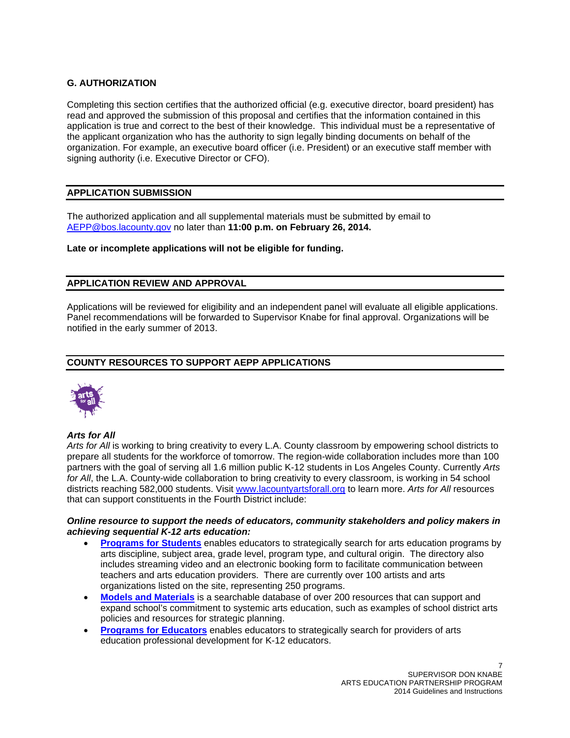# **G. AUTHORIZATION**

Completing this section certifies that the authorized official (e.g. executive director, board president) has read and approved the submission of this proposal and certifies that the information contained in this application is true and correct to the best of their knowledge. This individual must be a representative of the applicant organization who has the authority to sign legally binding documents on behalf of the organization. For example, an executive board officer (i.e. President) or an executive staff member with signing authority (i.e. Executive Director or CFO).

# **APPLICATION SUBMISSION**

The authorized application and all supplemental materials must be submitted by email to AEPP@bos.lacounty.gov no later than **11:00 p.m. on February 26, 2014.**

# **Late or incomplete applications will not be eligible for funding.**

# **APPLICATION REVIEW AND APPROVAL**

Applications will be reviewed for eligibility and an independent panel will evaluate all eligible applications. Panel recommendations will be forwarded to Supervisor Knabe for final approval. Organizations will be notified in the early summer of 2013.

# **COUNTY RESOURCES TO SUPPORT AEPP APPLICATIONS**



### *Arts for All*

*Arts for All* is working to bring creativity to every L.A. County classroom by empowering school districts to prepare all students for the workforce of tomorrow. The region-wide collaboration includes more than 100 partners with the goal of serving all 1.6 million public K-12 students in Los Angeles County. Currently *Arts for All*, the L.A. County-wide collaboration to bring creativity to every classroom, is working in 54 school districts reaching 582,000 students. Visit www.lacountyartsforall.org to learn more. *Arts for All* resources that can support constituents in the Fourth District include:

# *Online resource to support the needs of educators, community stakeholders and policy makers in achieving sequential K-12 arts education:*

- **Programs for Students** enables educators to strategically search for arts education programs by arts discipline, subject area, grade level, program type, and cultural origin. The directory also includes streaming video and an electronic booking form to facilitate communication between teachers and arts education providers. There are currently over 100 artists and arts organizations listed on the site, representing 250 programs.
- **Models and Materials** is a searchable database of over 200 resources that can support and expand school's commitment to systemic arts education, such as examples of school district arts policies and resources for strategic planning.
- **Programs for Educators** enables educators to strategically search for providers of arts education professional development for K-12 educators.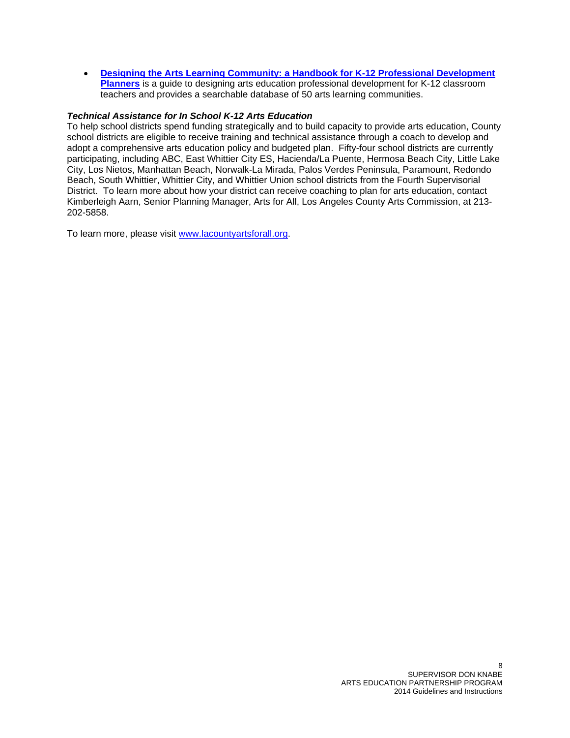**Designing the Arts Learning Community: a Handbook for K-12 Professional Development Planners** is a guide to designing arts education professional development for K-12 classroom teachers and provides a searchable database of 50 arts learning communities.

## *Technical Assistance for In School K-12 Arts Education*

To help school districts spend funding strategically and to build capacity to provide arts education, County school districts are eligible to receive training and technical assistance through a coach to develop and adopt a comprehensive arts education policy and budgeted plan. Fifty-four school districts are currently participating, including ABC, East Whittier City ES, Hacienda/La Puente, Hermosa Beach City, Little Lake City, Los Nietos, Manhattan Beach, Norwalk-La Mirada, Palos Verdes Peninsula, Paramount, Redondo Beach, South Whittier, Whittier City, and Whittier Union school districts from the Fourth Supervisorial District. To learn more about how your district can receive coaching to plan for arts education, contact Kimberleigh Aarn, Senior Planning Manager, Arts for All, Los Angeles County Arts Commission, at 213- 202-5858.

To learn more, please visit www.lacountyartsforall.org.